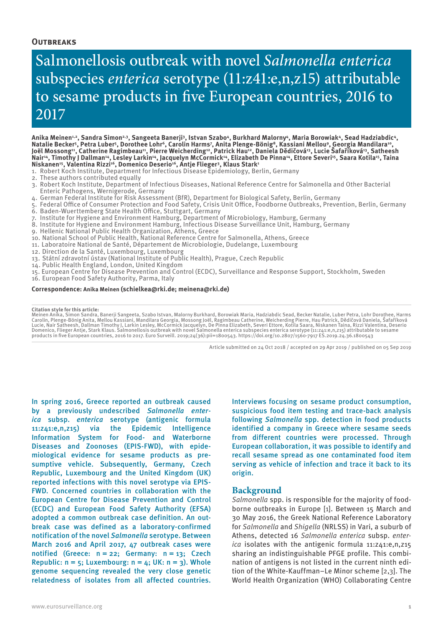#### **Outbreaks**

# Salmonellosis outbreak with novel *Salmonella enterica* subspecies *enterica* serotype (11:z41:e,n,z15) attributable to sesame products in five European countries, 2016 to 2017

Anika Meinen<u>úa,</u> Sandra Simonag, Sangeeta Banerjig, Istvan Szabo4, Burkhard Malorny4, Maria Borowiak4, Sead Hadziabdic4,<br>Natalie Becker5, Petra Luber5, Dorothee Lohr<sup>6</sup>, Carolin Harms7, Anita Plenge-Bönig8, Kassiani Mello Nair<sup>14</sup>, Timothy J Dallman<sup>14</sup>, Lesley Larkin<sup>14</sup>, Jacquelyn McCormick<sup>14</sup>, Elizabeth De Pinna<sup>14</sup>, Ettore Severi<sup>15</sup>, Saara Kotila<sup>15</sup>, Taina Niskanen<sup>15</sup>, Valentina Rizzi<sup>16</sup>, Domenico Deserio<sup>16</sup>, Antje Flieger<sup>3</sup>, Klaus Stark<sup>1</sup>

- 1. Robert Koch Institute, Department for Infectious Disease Epidemiology, Berlin, Germany
- 2. These authors contributed equally
- 3. Robert Koch Institute, Department of Infectious Diseases, National Reference Centre for Salmonella and Other Bacterial Enteric Pathogens, Wernigerode, Germany
- 4. German Federal Institute for Risk Assessment (BfR), Department for Biological Safety, Berlin, Germany
- 5. Federal Office of Consumer Protection and Food Safety, Crisis Unit Office, Foodborne Outbreaks, Prevention, Berlin, Germany 6. Baden-Wuerttemberg State Health Office, Stuttgart, Germany
- 7. Institute for Hygiene and Environment Hamburg, Department of Microbiology, Hamburg, Germany
- 8. Institute for Hygiene and Environment Hamburg, Infectious Disease Surveillance Unit, Hamburg, Germany
- 9. Hellenic National Public Health Organization, Athens, Greece
- 10. National School of Public Health, National Reference Centre for Salmonella, Athens, Greece
- 11. Laboratoire National de Santé, Département de Microbiologie, Dudelange, Luxembourg
- 12. Direction de la Santé, Luxembourg, Luxembourg
- 13. Státní zdravotní ústav (National Institute of Public Health), Prague, Czech Republic
- 14. Public Health England, London, United Kingdom
- 15. European Centre for Disease Prevention and Control (ECDC), Surveillance and Response Support, Stockholm, Sweden
- 16. European Food Safety Authority, Parma, Italy

#### **Correspondence: Anika Meinen (schielkea@rki.de; meinena@rki.de)**

#### **Citation style for this article:**

Meinen Anika, Simon Sandra, Banerji Sangeeta, Szabo Istvan, Malorny Burkhard, Borowiak Maria, Hadziabdic Sead, Becker Natalie, Luber Petra, Lohr Dorothee, Harms<br>Carolin, Plenge-Böng Anita, Mellou Kassiani, Mandilara Georgi products in five European countries, 2016 to 2017. Euro Surveill. 2019;24(36):pii=1800543. https://doi.org/10.2807/1560-7917 ES.2019.24.36.1800543

Article submitted on 24 Oct 2018 / accepted on 29 Apr 2019 / published on 05 Sep 2019

In spring 2016, Greece reported an outbreak caused by a previously undescribed *Salmonella enterica* subsp. *enterica* serotype (antigenic formula 11:z41:e,n,z15) via the Epidemic Intelligence Information System for Food- and Waterborne Diseases and Zoonoses (EPIS-FWD), with epidemiological evidence for sesame products as presumptive vehicle. Subsequently, Germany, Czech Republic, Luxembourg and the United Kingdom (UK) reported infections with this novel serotype via EPIS-FWD. Concerned countries in collaboration with the European Centre for Disease Prevention and Control (ECDC) and European Food Safety Authority (EFSA) adopted a common outbreak case definition. An outbreak case was defined as a laboratory-confirmed notification of the novel *Salmonella* serotype. Between March 2016 and April 2017, 47 outbreak cases were notified (Greece:  $n = 22$ ; Germany:  $n = 13$ ; Czech Republic:  $n = 5$ ; Luxembourg:  $n = 4$ ; UK:  $n = 3$ ). Whole genome sequencing revealed the very close genetic relatedness of isolates from all affected countries. Interviews focusing on sesame product consumption, suspicious food item testing and trace-back analysis following *Salmonella* spp. detection in food products identified a company in Greece where sesame seeds from different countries were processed. Through European collaboration, it was possible to identify and recall sesame spread as one contaminated food item serving as vehicle of infection and trace it back to its origin.

#### **Background**

*Salmonella* spp. is responsible for the majority of foodborne outbreaks in Europe [1]. Between 15 March and 30 May 2016, the Greek National Reference Laboratory for *Salmonella* and *Shigella* (NRLSS) in Vari, a suburb of Athens, detected 16 *Salmonella enterica* subsp. *enterica* isolates with the antigenic formula 11:z41:e,n,z15 sharing an indistinguishable PFGE profile. This combination of antigens is not listed in the current ninth edition of the White-Kauffman–Le Minor scheme [2,3]. The World Health Organization (WHO) Collaborating Centre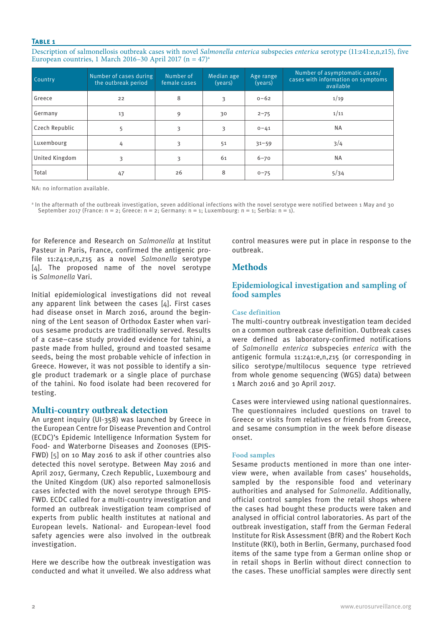#### **Table 1**

Description of salmonellosis outbreak cases with novel *Salmonella enterica* subspecies *enterica* serotype (11:z41:e,n,z15), five European countries, 1 March 2016–30 April 2017 (n =  $47$ )<sup>a</sup>

| Country        | Number of cases during<br>the outbreak period | Number of<br>female cases | Median age<br>(years) | Age range<br>(years) | Number of asymptomatic cases/<br>cases with information on symptoms<br>available |  |
|----------------|-----------------------------------------------|---------------------------|-----------------------|----------------------|----------------------------------------------------------------------------------|--|
| Greece         | 22                                            | 8                         | 3                     | $0 - 62$             | 1/19                                                                             |  |
| Germany        | 13                                            | 9                         | 30                    | $2 - 75$             | 1/11                                                                             |  |
| Czech Republic | 5                                             | 3                         | 3                     | $0 - 41$             | <b>NA</b>                                                                        |  |
| Luxembourg     | 4                                             | 3                         | 51                    | $31 - 59$            | 3/4                                                                              |  |
| United Kingdom | 3                                             | 3                         | 61                    | $6 - 70$             | <b>NA</b>                                                                        |  |
| Total          | 47                                            | 26                        | 8                     | $0 - 75$             | 5/34                                                                             |  |

NA: no information available.

a In the aftermath of the outbreak investigation, seven additional infections with the novel serotype were notified between 1 May and 30 September 2017 (France: n = 2; Greece: n = 2; Germany: n = 1; Luxembourg: n = 1; Serbia: n = 1).

for Reference and Research on *Salmonella* at Institut Pasteur in Paris, France, confirmed the antigenic profile 11:z41:e,n,z15 as a novel *Salmonella* serotype [4]. The proposed name of the novel serotype is *Salmonella* Vari.

Initial epidemiological investigations did not reveal any apparent link between the cases [4]. First cases had disease onset in March 2016, around the beginning of the Lent season of Orthodox Easter when various sesame products are traditionally served. Results of a case–case study provided evidence for tahini, a paste made from hulled, ground and toasted sesame seeds, being the most probable vehicle of infection in Greece. However, it was not possible to identify a single product trademark or a single place of purchase of the tahini. No food isolate had been recovered for testing.

## **Multi-country outbreak detection**

An urgent inquiry (UI-358) was launched by Greece in the European Centre for Disease Prevention and Control (ECDC)'s Epidemic Intelligence Information System for Food- and Waterborne Diseases and Zoonoses (EPIS-FWD) [5] on 10 May 2016 to ask if other countries also detected this novel serotype. Between May 2016 and April 2017, Germany, Czech Republic, Luxembourg and the United Kingdom (UK) also reported salmonellosis cases infected with the novel serotype through EPIS-FWD. ECDC called for a multi-country investigation and formed an outbreak investigation team comprised of experts from public health institutes at national and European levels. National- and European-level food safety agencies were also involved in the outbreak investigation.

Here we describe how the outbreak investigation was conducted and what it unveiled. We also address what control measures were put in place in response to the outbreak.

# **Methods**

# **Epidemiological investigation and sampling of food samples**

#### **Case definition**

The multi-country outbreak investigation team decided on a common outbreak case definition. Outbreak cases were defined as laboratory-confirmed notifications of *Salmonella enterica* subspecies *enterica* with the antigenic formula 11:z41:e,n,z15 (or corresponding in silico serotype/multilocus sequence type retrieved from whole genome sequencing (WGS) data) between 1 March 2016 and 30 April 2017.

Cases were interviewed using national questionnaires. The questionnaires included questions on travel to Greece or visits from relatives or friends from Greece, and sesame consumption in the week before disease onset.

## **Food samples**

Sesame products mentioned in more than one interview were, when available from cases' households, sampled by the responsible food and veterinary authorities and analysed for *Salmonella*. Additionally, official control samples from the retail shops where the cases had bought these products were taken and analysed in official control laboratories. As part of the outbreak investigation, staff from the German Federal Institute for Risk Assessment (BfR) and the Robert Koch Institute (RKI), both in Berlin, Germany, purchased food items of the same type from a German online shop or in retail shops in Berlin without direct connection to the cases. These unofficial samples were directly sent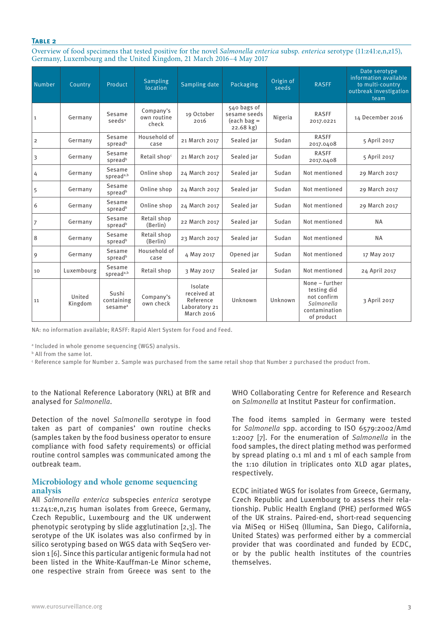#### **Table 2**

Overview of food specimens that tested positive for the novel *Salmonella enterica* subsp. *enterica* serotype (11:z41:e,n,z15), Germany, Luxembourg and the United Kingdom, 21 March 2016–4 May 2017

| <b>Number</b>  | Country           | Product                                    | <b>Sampling</b><br>location       | Sampling date                                                      | Packaging                                                         | Origin of<br>seeds | <b>RASFF</b>                                                                              | Date serotype<br>information available<br>to multi-country<br>outbreak investigation<br>team |
|----------------|-------------------|--------------------------------------------|-----------------------------------|--------------------------------------------------------------------|-------------------------------------------------------------------|--------------------|-------------------------------------------------------------------------------------------|----------------------------------------------------------------------------------------------|
| $\mathbf{1}$   | Germany           | Sesame<br>seeds <sup>a</sup>               | Company's<br>own routine<br>check | 19 October<br>2016                                                 | 540 bags of<br>sesame seeds<br>$\left($ each bag =<br>$22.68$ kg) | Nigeria            | <b>RASFF</b><br>2017.0221                                                                 | 14 December 2016                                                                             |
| $\overline{2}$ | Germany           | Sesame<br>spreadb                          | Household of<br>case              | 21 March 2017                                                      | Sealed jar                                                        | Sudan              | <b>RASFF</b><br>2017.0408                                                                 | 5 April 2017                                                                                 |
| 3              | Germany           | Sesame<br>spreadb                          | Retail shop <sup>c</sup>          | 21 March 2017                                                      | Sealed jar                                                        | Sudan              | <b>RASFF</b><br>2017.0408                                                                 | 5 April 2017                                                                                 |
| 4              | Germany           | Sesame<br>spread <sup>a,b</sup>            | Online shop                       | 24 March 2017                                                      | Sealed jar                                                        | Sudan              | Not mentioned                                                                             | 29 March 2017                                                                                |
| 5              | Germany           | Sesame<br>spreadb                          | Online shop                       | 24 March 2017                                                      | Sealed jar                                                        | Sudan              | Not mentioned                                                                             | 29 March 2017                                                                                |
| 6              | Germany           | Sesame<br>spreadb                          | Online shop                       | 24 March 2017                                                      | Sealed jar                                                        | Sudan              | Not mentioned                                                                             | 29 March 2017                                                                                |
| $\overline{7}$ | Germany           | Sesame<br>spreadb                          | Retail shop<br>(Berlin)           | 22 March 2017                                                      | Sealed jar                                                        | Sudan              | Not mentioned                                                                             | <b>NA</b>                                                                                    |
| 8              | Germany           | Sesame<br>spreadb                          | Retail shop<br>(Berlin)           | 23 March 2017                                                      | Sealed jar                                                        | Sudan              | Not mentioned                                                                             | <b>NA</b>                                                                                    |
| 9              | Germany           | Sesame<br>spreadb                          | Household of<br>case              | 4 May 2017                                                         | Opened jar                                                        | Sudan              | Not mentioned                                                                             | 17 May 2017                                                                                  |
| 10             | Luxembourg        | Sesame<br>spread <sup>a,b</sup>            | Retail shop                       | 3 May 2017                                                         | Sealed jar                                                        | Sudan              | Not mentioned                                                                             | 24 April 2017                                                                                |
| 11             | United<br>Kingdom | Sushi<br>containing<br>sesame <sup>a</sup> | Company's<br>own check            | Isolate<br>received at<br>Reference<br>Laboratory 21<br>March 2016 | Unknown                                                           | Unknown            | None - further<br>testing did<br>not confirm<br>Salmonella<br>contamination<br>of product | 3 April 2017                                                                                 |

NA: no information available; RASFF: Rapid Alert System for Food and Feed.

a Included in whole genome sequencing (WGS) analysis.

b All from the same lot.

 $\cdot$  Reference sample for Number 2. Sample was purchased from the same retail shop that Number 2 purchased the product from.

to the National Reference Laboratory (NRL) at BfR and analysed for *Salmonella*.

Detection of the novel Salmonella serotype in food taken as part of companies' own routine checks (samples taken by the food business operator to ensure compliance with food safety requirements) or official routine control samples was communicated among the outbreak team.

## **Microbiology and whole genome sequencing analysis**

All *Salmonella enterica* subspecies *enterica* serotype 11:z41:e,n,z15 human isolates from Greece, Germany, Czech Republic, Luxembourg and the UK underwent phenotypic serotyping by slide agglutination [2,3]. The serotype of the UK isolates was also confirmed by in silico serotyping based on WGS data with SeqSero version 1 [6]. Since this particular antigenic formula had not been listed in the White-Kauffman-Le Minor scheme, one respective strain from Greece was sent to the WHO Collaborating Centre for Reference and Research on *Salmonella* at Institut Pasteur for confirmation.

The food items sampled in Germany were tested for *Salmonella* spp. according to ISO 6579:2002/Amd 1:2007 [7]. For the enumeration of *Salmonella* in the food samples, the direct plating method was performed by spread plating 0.1 ml and 1 ml of each sample from the 1:10 dilution in triplicates onto XLD agar plates, respectively.

ECDC initiated WGS for isolates from Greece, Germany, Czech Republic and Luxembourg to assess their relationship. Public Health England (PHE) performed WGS of the UK strains. Paired-end, short-read sequencing via MiSeq or HiSeq (Illumina, San Diego, California, United States) was performed either by a commercial provider that was coordinated and funded by ECDC, or by the public health institutes of the countries themselves.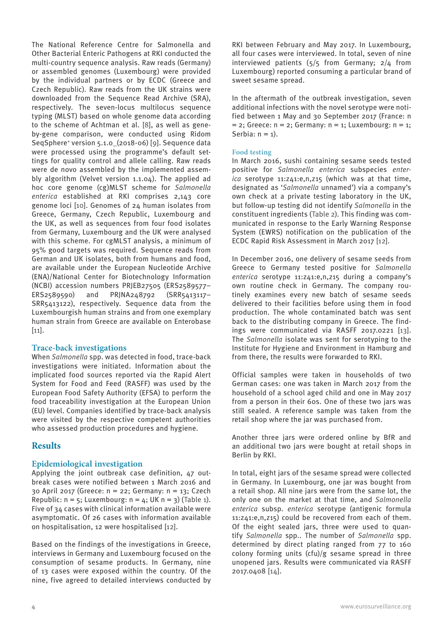The National Reference Centre for Salmonella and Other Bacterial Enteric Pathogens at RKI conducted the multi-country sequence analysis. Raw reads (Germany) or assembled genomes (Luxembourg) were provided by the individual partners or by ECDC (Greece and Czech Republic). Raw reads from the UK strains were downloaded from the Sequence Read Archive (SRA), respectively. The seven-locus multilocus sequence typing (MLST) based on whole genome data according to the scheme of Achtman et al. [8], as well as geneby-gene comparison, were conducted using Ridom SeqSphere<sup>+</sup> version 5.1.0 (2018-06) [9]. Sequence data were processed using the programme's default settings for quality control and allele calling. Raw reads were de novo assembled by the implemented assembly algorithm (Velvet version 1.1.04). The applied ad hoc core genome (cg)MLST scheme for *Salmonella enterica* established at RKI comprises 2,143 core genome loci [10]. Genomes of 24 human isolates from Greece, Germany, Czech Republic, Luxembourg and the UK, as well as sequences from four food isolates from Germany, Luxembourg and the UK were analysed with this scheme. For cgMLST analysis, a minimum of 95% good targets was required. Sequence reads from German and UK isolates, both from humans and food, are available under the European Nucleotide Archive (ENA)/National Center for Biotechnology Information (NCBI) accession numbers PRJEB27505 (ERS2589577– ERS2589590) and PRJNA248792 (SRR5413117– SRR5413122), respectively. Sequence data from the Luxembourgish human strains and from one exemplary human strain from Greece are available on Enterobase  $[11]$ .

## **Trace-back investigations**

When *Salmonella* spp. was detected in food, trace-back investigations were initiated. Information about the implicated food sources reported via the Rapid Alert System for Food and Feed (RASFF) was used by the European Food Safety Authority (EFSA) to perform the food traceability investigation at the European Union (EU) level. Companies identified by trace-back analysis were visited by the respective competent authorities who assessed production procedures and hygiene.

# **Results**

## **Epidemiological investigation**

Applying the joint outbreak case definition, 47 outbreak cases were notified between 1 March 2016 and 30 April 2017 (Greece: n = 22; Germany: n = 13; Czech Republic:  $n = 5$ ; Luxembourg:  $n = 4$ ; UK  $n = 3$ ) (Table 1). Five of 34 cases with clinical information available were asymptomatic. Of 26 cases with information available on hospitalisation, 12 were hospitalised [12].

Based on the findings of the investigations in Greece, interviews in Germany and Luxembourg focused on the consumption of sesame products. In Germany, nine of 13 cases were exposed within the country. Of the nine, five agreed to detailed interviews conducted by RKI between February and May 2017. In Luxembourg, all four cases were interviewed. In total, seven of nine interviewed patients  $(5/5)$  from Germany;  $2/4$  from Luxembourg) reported consuming a particular brand of sweet sesame spread.

In the aftermath of the outbreak investigation, seven additional infections with the novel serotype were notified between 1 May and 30 September 2017 (France: n  $= 2$ ; Greece:  $n = 2$ ; Germany:  $n = 1$ ; Luxembourg:  $n = 1$ ; Serbia:  $n = 1$ ).

#### **Food testing**

In March 2016, sushi containing sesame seeds tested positive for *Salmonella enterica* subspecies *enterica* serotype 11:z41:e,n,z15 (which was at that time, designated as '*Salmonella* unnamed') via a company's own check at a private testing laboratory in the UK, but follow-up testing did not identify *Salmonella* in the constituent ingredients (Table 2). This finding was communicated in response to the Early Warning Response System (EWRS) notification on the publication of the ECDC Rapid Risk Assessment in March 2017 [12].

In December 2016, one delivery of sesame seeds from Greece to Germany tested positive for *Salmonella enterica* serotype 11:z41:e,n,z15 during a company's own routine check in Germany. The company routinely examines every new batch of sesame seeds delivered to their facilities before using them in food production. The whole contaminated batch was sent back to the distributing company in Greece. The findings were communicated via RASFF 2017.0221 [13]. The *Salmonella* isolate was sent for serotyping to the Institute for Hygiene and Environment in Hamburg and from there, the results were forwarded to RKI.

Official samples were taken in households of two German cases: one was taken in March 2017 from the household of a school aged child and one in May 2017 from a person in their 60s. One of these two jars was still sealed. A reference sample was taken from the retail shop where the jar was purchased from.

Another three jars were ordered online by BfR and an additional two jars were bought at retail shops in Berlin by RKI.

In total, eight jars of the sesame spread were collected in Germany. In Luxembourg, one jar was bought from a retail shop. All nine jars were from the same lot, the only one on the market at that time, and *Salmonella enterica* subsp. *enterica* serotype (antigenic formula 11:z41:e,n,z15) could be recovered from each of them. Of the eight sealed jars, three were used to quantify *Salmonella* spp.. The number of *Salmonella* spp. determined by direct plating ranged from 77 to 160 colony forming units (cfu)/g sesame spread in three unopened jars. Results were communicated via RASFF 2017.0408 [14].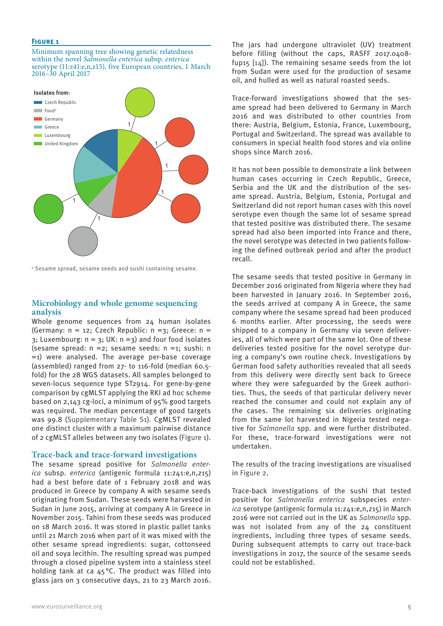#### **Figure 1**

Minimum spanning tree showing genetic relatedness within the novel *Salmonella enterica* subsp. *enterica* serotype (11:z41:e,n,z15), five European countries, 1 March 2016–30 April 2017



a Sesame spread, sesame seeds and sushi containing sesame.

#### **Microbiology and whole genome sequencing analysis**

Whole genome sequences from 24 human isolates (Germany:  $n = 12$ ; Czech Republic:  $n = 3$ ; Greece:  $n =$  $3$ ; Luxembourg:  $n = 3$ ; UK:  $n = 3$ ) and four food isolates (sesame spread: n =2; sesame seeds: n =1; sushi: n =1) were analysed. The average per-base coverage (assembled) ranged from 27- to 116-fold (median 60.5 fold) for the 28 WGS datasets. All samples belonged to seven-locus sequence type ST2914. For gene-by-gene comparison by cgMLST applying the RKI ad hoc scheme based on 2,143 cg-loci, a minimum of 95% good targets was required. The median percentage of good targets was 99.8 (Supplementary Table S1). CgMLST revealed one distinct cluster with a maximum pairwise distance of 2 cgMLST alleles between any two isolates (Figure 1).

#### **Trace-back and trace-forward investigations**

The sesame spread positive for *Salmonella enterica* subsp. *enterica* (antigenic formula 11:z41:e,n,z15) had a best before date of 1 February 2018 and was produced in Greece by company A with sesame seeds originating from Sudan. These seeds were harvested in Sudan in June 2015, arriving at company A in Greece in November 2015. Tahini from these seeds was produced on 18 March 2016. It was stored in plastic pallet tanks until 21 March 2016 when part of it was mixed with the other sesame spread ingredients: sugar, cottonseed oil and soya lecithin. The resulting spread was pumped through a closed pipeline system into a stainless steel holding tank at ca 45°C. The product was filled into glass jars on 3 consecutive days, 21 to 23 March 2016. The jars had undergone ultraviolet (UV) treatment before filling (without the caps, RASFF 2017.0408 fup15  $[14]$ ). The remaining sesame seeds from the lot from Sudan were used for the production of sesame oil, and hulled as well as natural roasted seeds.

Trace-forward investigations showed that the sesame spread had been delivered to Germany in March 2016 and was distributed to other countries from there: Austria, Belgium, Estonia, France, Luxembourg, Portugal and Switzerland. The spread was available to consumers in special health food stores and via online shops since March 2016.

It has not been possible to demonstrate a link between human cases occurring in Czech Republic, Greece, Serbia and the UK and the distribution of the sesame spread. Austria, Belgium, Estonia, Portugal and Switzerland did not report human cases with this novel serotype even though the same lot of sesame spread that tested positive was distributed there. The sesame spread had also been imported into France and there, the novel serotype was detected in two patients following the defined outbreak period and after the product recall.

The sesame seeds that tested positive in Germany in December 2016 originated from Nigeria where they had been harvested in January 2016. In September 2016, the seeds arrived at company A in Greece, the same company where the sesame spread had been produced 6 months earlier. After processing, the seeds were shipped to a company in Germany via seven deliveries, all of which were part of the same lot. One of these deliveries tested positive for the novel serotype during a company's own routine check. Investigations by German food safety authorities revealed that all seeds from this delivery were directly sent back to Greece where they were safeguarded by the Greek authorities. Thus, the seeds of that particular delivery never reached the consumer and could not explain any of the cases. The remaining six deliveries originating from the same lot harvested in Nigeria tested negative for *Salmonella* spp. and were further distributed. For these, trace-forward investigations were not undertaken.

The results of the tracing investigations are visualised in Figure 2.

Trace-back investigations of the sushi that tested positive for *Salmonella enterica* subspecies *enterica* serotype (antigenic formula 11:z41:e,n,z15) in March 2016 were not carried out in the UK as *Salmonella* spp. was not isolated from any of the 24 constituent ingredients, including three types of sesame seeds. During subsequent attempts to carry out trace-back investigations in 2017, the source of the sesame seeds could not be established.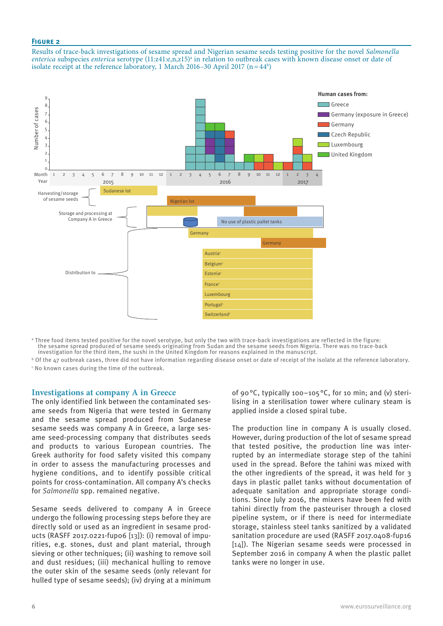#### **Figure 2**

Results of trace-back investigations of sesame spread and Nigerian sesame seeds testing positive for the novel *Salmonella enterica* subspecies *enterica* serotype (11:z41:e,n,z15)<sup>a</sup> in relation to outbreak cases with known disease onset or date of isolate receipt at the reference laboratory, 1 March 2016–30 April 2017 (n=44b)



a Three food items tested positive for the novel serotype, but only the two with trace-back investigations are reflected in the figure: the sesame spread produced of sesame seeds originating from Sudan and the sesame seeds from Nigeria. There was no trace-back investigation for the third item, the sushi in the United Kingdom for reasons explained in the manuscript.

 $^{\rm b}$  Of the 47 outbreak cases, three did not have information regarding disease onset or date of receipt of the isolate at the reference laboratory.  $\mathfrak{c}$  No known cases during the time of the outbreak.

#### **Investigations at company A in Greece**

The only identified link between the contaminated sesame seeds from Nigeria that were tested in Germany and the sesame spread produced from Sudanese sesame seeds was company A in Greece, a large sesame seed-processing company that distributes seeds and products to various European countries. The Greek authority for food safety visited this company in order to assess the manufacturing processes and hygiene conditions, and to identify possible critical points for cross-contamination. All company A's checks for *Salmonella* spp. remained negative.

Sesame seeds delivered to company A in Greece undergo the following processing steps before they are directly sold or used as an ingredient in sesame products (RASFF 2017.0221-fup06 [13]): (i) removal of impurities, e.g. stones, dust and plant material, through sieving or other techniques; (ii) washing to remove soil and dust residues; (iii) mechanical hulling to remove the outer skin of the sesame seeds (only relevant for hulled type of sesame seeds); (iv) drying at a minimum

of 90°C, typically 100–105°C, for 10 min; and (v) sterilising in a sterilisation tower where culinary steam is applied inside a closed spiral tube.

The production line in company A is usually closed. However, during production of the lot of sesame spread that tested positive, the production line was interrupted by an intermediate storage step of the tahini used in the spread. Before the tahini was mixed with the other ingredients of the spread, it was held for 3 days in plastic pallet tanks without documentation of adequate sanitation and appropriate storage conditions. Since July 2016, the mixers have been fed with tahini directly from the pasteuriser through a closed pipeline system, or if there is need for intermediate storage, stainless steel tanks sanitized by a validated sanitation procedure are used (RASFF 2017.0408-fup16 [14]). The Nigerian sesame seeds were processed in September 2016 in company A when the plastic pallet tanks were no longer in use.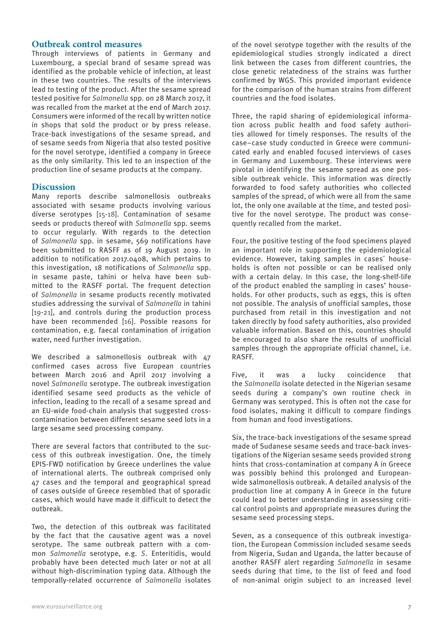# **Outbreak control measures**

Through interviews of patients in Germany and Luxembourg, a special brand of sesame spread was identified as the probable vehicle of infection, at least in these two countries. The results of the interviews lead to testing of the product. After the sesame spread tested positive for *Salmonella* spp*.* on 28 March 2017, it was recalled from the market at the end of March 2017. Consumers were informed of the recall by written notice in shops that sold the product or by press release. Trace-back investigations of the sesame spread, and of sesame seeds from Nigeria that also tested positive for the novel serotype, identified a company in Greece as the only similarity. This led to an inspection of the production line of sesame products at the company.

## **Discussion**

Many reports describe salmonellosis outbreaks associated with sesame products involving various diverse serotypes [15-18]. Contamination of sesame seeds or products thereof with *Salmonella* spp. seems to occur regularly. With regards to the detection of *Salmonella* spp. in sesame, 569 notifications have been submitted to RASFF as of 19 August 2019. In addition to notification 2017.0408, which pertains to this investigation, 18 notifications of *Salmonella* spp. in sesame paste, tahini or helva have been submitted to the RASFF portal. The frequent detection of *Salmonella* in sesame products recently motivated studies addressing the survival of *Salmonella* in tahini [19-21], and controls during the production process have been recommended [16]. Possible reasons for contamination, e.g. faecal contamination of irrigation water, need further investigation.

We described a salmonellosis outbreak with 47 confirmed cases across five European countries between March 2016 and April 2017 involving a novel *Salmonella* serotype. The outbreak investigation identified sesame seed products as the vehicle of infection, leading to the recall of a sesame spread and an EU-wide food-chain analysis that suggested crosscontamination between different sesame seed lots in a large sesame seed processing company.

There are several factors that contributed to the success of this outbreak investigation. One, the timely EPIS-FWD notification by Greece underlines the value of international alerts. The outbreak comprised only 47 cases and the temporal and geographical spread of cases outside of Greece resembled that of sporadic cases, which would have made it difficult to detect the outbreak.

Two, the detection of this outbreak was facilitated by the fact that the causative agent was a novel serotype. The same outbreak pattern with a common *Salmonella* serotype, e.g. *S*. Enteritidis, would probably have been detected much later or not at all without high-discrimination typing data. Although the temporally-related occurrence of *Salmonella* isolates of the novel serotype together with the results of the epidemiological studies strongly indicated a direct link between the cases from different countries, the close genetic relatedness of the strains was further confirmed by WGS. This provided important evidence for the comparison of the human strains from different countries and the food isolates.

Three, the rapid sharing of epidemiological information across public health and food safety authorities allowed for timely responses. The results of the case–case study conducted in Greece were communicated early and enabled focused interviews of cases in Germany and Luxembourg. These interviews were pivotal in identifying the sesame spread as one possible outbreak vehicle. This information was directly forwarded to food safety authorities who collected samples of the spread, of which were all from the same lot, the only one available at the time, and tested positive for the novel serotype. The product was consequently recalled from the market.

Four, the positive testing of the food specimens played an important role in supporting the epidemiological evidence. However, taking samples in cases´ households is often not possible or can be realised only with a certain delay. In this case, the long-shelf-life of the product enabled the sampling in cases' households. For other products, such as eggs, this is often not possible. The analysis of unofficial samples, those purchased from retail in this investigation and not taken directly by food safety authorities, also provided valuable information. Based on this, countries should be encouraged to also share the results of unofficial samples through the appropriate official channel, i.e. RASFF.

Five, it was a lucky coincidence that the *Salmonella* isolate detected in the Nigerian sesame seeds during a company's own routine check in Germany was serotyped. This is often not the case for food isolates, making it difficult to compare findings from human and food investigations.

Six, the trace-back investigations of the sesame spread made of Sudanese sesame seeds and trace-back investigations of the Nigerian sesame seeds provided strong hints that cross-contamination at company A in Greece was possibly behind this prolonged and Europeanwide salmonellosis outbreak. A detailed analysis of the production line at company A in Greece in the future could lead to better understanding in assessing critical control points and appropriate measures during the sesame seed processing steps.

Seven, as a consequence of this outbreak investigation, the European Commission included sesame seeds from Nigeria, Sudan and Uganda, the latter because of another RASFF alert regarding *Salmonella* in sesame seeds during that time, to the list of feed and food of non-animal origin subject to an increased level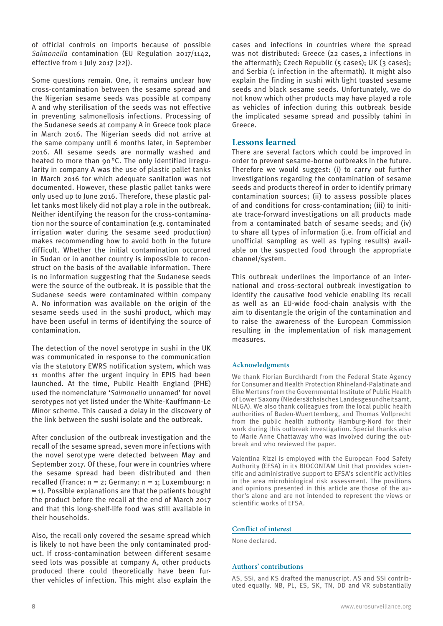of official controls on imports because of possible *Salmonella* contamination (EU Regulation 2017/1142, effective from 1 July 2017 [22]).

Some questions remain. One, it remains unclear how cross-contamination between the sesame spread and the Nigerian sesame seeds was possible at company A and why sterilisation of the seeds was not effective in preventing salmonellosis infections. Processing of the Sudanese seeds at company A in Greece took place in March 2016. The Nigerian seeds did not arrive at the same company until 6 months later, in September 2016. All sesame seeds are normally washed and heated to more than 90°C. The only identified irregularity in company A was the use of plastic pallet tanks in March 2016 for which adequate sanitation was not documented. However, these plastic pallet tanks were only used up to June 2016. Therefore, these plastic pallet tanks most likely did not play a role in the outbreak. Neither identifying the reason for the cross-contamination nor the source of contamination (e.g. contaminated irrigation water during the sesame seed production) makes recommending how to avoid both in the future difficult. Whether the initial contamination occurred in Sudan or in another country is impossible to reconstruct on the basis of the available information. There is no information suggesting that the Sudanese seeds were the source of the outbreak. It is possible that the Sudanese seeds were contaminated within company A. No information was available on the origin of the sesame seeds used in the sushi product, which may have been useful in terms of identifying the source of contamination.

The detection of the novel serotype in sushi in the UK was communicated in response to the communication via the statutory EWRS notification system, which was 11 months after the urgent inquiry in EPIS had been launched. At the time, Public Health England (PHE) used the nomenclature '*Salmonella* unnamed' for novel serotypes not yet listed under the White-Kauffmann-Le Minor scheme. This caused a delay in the discovery of the link between the sushi isolate and the outbreak.

After conclusion of the outbreak investigation and the recall of the sesame spread, seven more infections with the novel serotype were detected between May and September 2017. Of these, four were in countries where the sesame spread had been distributed and then recalled (France:  $n = 2$ ; Germany:  $n = 1$ ; Luxembourg: n  $=$  1). Possible explanations are that the patients bought the product before the recall at the end of March 2017 and that this long-shelf-life food was still available in their households.

Also, the recall only covered the sesame spread which is likely to not have been the only contaminated product. If cross-contamination between different sesame seed lots was possible at company A, other products produced there could theoretically have been further vehicles of infection. This might also explain the cases and infections in countries where the spread was not distributed: Greece (22 cases, 2 infections in the aftermath); Czech Republic (5 cases); UK (3 cases); and Serbia (1 infection in the aftermath). It might also explain the finding in sushi with light toasted sesame seeds and black sesame seeds. Unfortunately, we do not know which other products may have played a role as vehicles of infection during this outbreak beside the implicated sesame spread and possibly tahini in Greece.

## **Lessons learned**

There are several factors which could be improved in order to prevent sesame-borne outbreaks in the future. Therefore we would suggest: (i) to carry out further investigations regarding the contamination of sesame seeds and products thereof in order to identify primary contamination sources; (ii) to assess possible places of and conditions for cross-contamination; (iii) to initiate trace-forward investigations on all products made from a contaminated batch of sesame seeds; and (iv) to share all types of information (i.e. from official and unofficial sampling as well as typing results) available on the suspected food through the appropriate channel/system.

This outbreak underlines the importance of an international and cross-sectoral outbreak investigation to identify the causative food vehicle enabling its recall as well as an EU-wide food-chain analysis with the aim to disentangle the origin of the contamination and to raise the awareness of the European Commission resulting in the implementation of risk management measures.

#### **Acknowledgments**

We thank Florian Burckhardt from the Federal State Agency for Consumer and Health Protection Rhineland-Palatinate and Elke Mertens from the Governmental Institute of Public Health of Lower Saxony (Niedersächsisches Landesgesundheitsamt, NLGA). We also thank colleagues from the local public health authorities of Baden-Wuerttemberg, and Thomas Vollprecht from the public health authority Hamburg-Nord for their work during this outbreak investigation. Special thanks also to Marie Anne Chattaway who was involved during the outbreak and who reviewed the paper.

Valentina Rizzi is employed with the European Food Safety Authority (EFSA) in its BIOCONTAM Unit that provides scientific and administrative support to EFSA's scientific activities in the area microbiological risk assessment. The positions and opinions presented in this article are those of the author's alone and are not intended to represent the views or scientific works of EFSA.

#### **Conflict of interest**

None declared.

#### **Authors' contributions**

AS, SSi, and KS drafted the manuscript. AS and SSi contributed equally. NB, PL, ES, SK, TN, DD and VR substantially